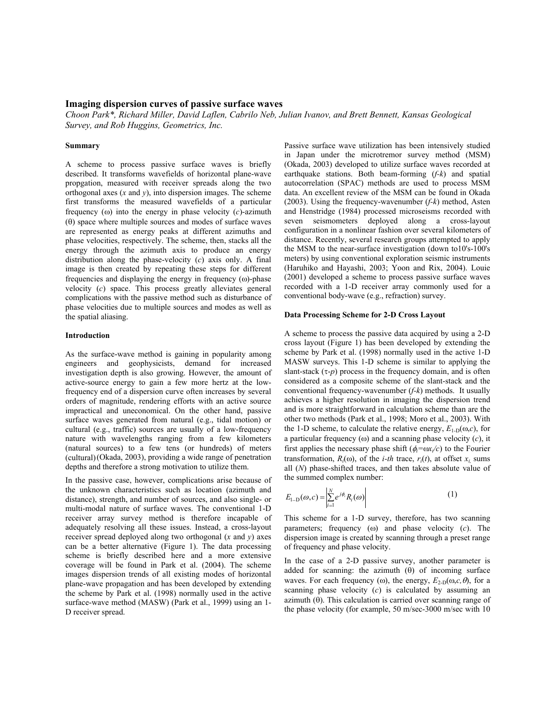### **Imaging dispersion curves of passive surface waves**

*Choon Park\*, Richard Miller, David Laflen, Cabrilo Neb, Julian Ivanov, and Brett Bennett, Kansas Geological Survey, and Rob Huggins, Geometrics, Inc.*

#### **Summary**

A scheme to process passive surface waves is briefly described. It transforms wavefields of horizontal plane-wave propgation, measured with receiver spreads along the two orthogonal axes (*x* and *y*), into dispersion images. The scheme first transforms the measured wavefields of a particular frequency (ω) into the energy in phase velocity (*c*)-azimuth (θ) space where multiple sources and modes of surface waves are represented as energy peaks at different azimuths and phase velocities, respectively. The scheme, then, stacks all the energy through the azimuth axis to produce an energy distribution along the phase-velocity (*c*) axis only. A final image is then created by repeating these steps for different frequencies and displaying the energy in frequency (ω)-phase velocity (*c*) space. This process greatly alleviates general complications with the passive method such as disturbance of phase velocities due to multiple sources and modes as well as the spatial aliasing.

# **Introduction**

As the surface-wave method is gaining in popularity among engineers and geophysicists, demand for increased investigation depth is also growing. However, the amount of active-source energy to gain a few more hertz at the lowfrequency end of a dispersion curve often increases by several orders of magnitude, rendering efforts with an active source impractical and uneconomical. On the other hand, passive surface waves generated from natural (e.g., tidal motion) or cultural (e.g., traffic) sources are usually of a low-frequency nature with wavelengths ranging from a few kilometers (natural sources) to a few tens (or hundreds) of meters (cultural)(Okada, 2003), providing a wide range of penetration depths and therefore a strong motivation to utilize them.

In the passive case, however, complications arise because of the unknown characteristics such as location (azimuth and distance), strength, and number of sources, and also single- or multi-modal nature of surface waves. The conventional 1-D receiver array survey method is therefore incapable of adequately resolving all these issues. Instead, a cross-layout receiver spread deployed along two orthogonal (*x* and *y*) axes can be a better alternative (Figure 1). The data processing scheme is briefly described here and a more extensive coverage will be found in Park et al. (2004). The scheme images dispersion trends of all existing modes of horizontal plane-wave propagation and has been developed by extending the scheme by Park et al. (1998) normally used in the active surface-wave method (MASW) (Park et al., 1999) using an 1- D receiver spread.

Passive surface wave utilization has been intensively studied in Japan under the microtremor survey method (MSM) (Okada, 2003) developed to utilize surface waves recorded at earthquake stations. Both beam-forming (*f-k*) and spatial autocorrelation (SPAC) methods are used to process MSM data. An excellent review of the MSM can be found in Okada (2003). Using the frequency-wavenumber (*f-k*) method, Asten and Henstridge (1984) processed microseisms recorded with seven seismometers deployed along a cross-layout configuration in a nonlinear fashion over several kilometers of distance. Recently, several research groups attempted to apply the MSM to the near-surface investigation (down to10's-100's meters) by using conventional exploration seismic instruments (Haruhiko and Hayashi, 2003; Yoon and Rix, 2004). Louie (2001) developed a scheme to process passive surface waves recorded with a 1-D receiver array commonly used for a conventional body-wave (e.g., refraction) survey.

# **Data Processing Scheme for 2-D Cross Layout**

A scheme to process the passive data acquired by using a 2-D cross layout (Figure 1) has been developed by extending the scheme by Park et al. (1998) normally used in the active 1-D MASW surveys. This 1-D scheme is similar to applying the slant-stack  $(\tau - p)$  process in the frequency domain, and is often considered as a composite scheme of the slant-stack and the conventional frequency-wavenumber (*f-k*) methods. It usually achieves a higher resolution in imaging the dispersion trend and is more straightforward in calculation scheme than are the other two methods (Park et al., 1998; Moro et al., 2003). With the 1-D scheme, to calculate the relative energy,  $E_{1-D}(\omega,c)$ , for a particular frequency (ω) and a scanning phase velocity (*c*), it first applies the necessary phase shift ( $\phi = \alpha x/c$ ) to the Fourier transformation,  $R_i(\omega)$ , of the *i-th* trace,  $r_i(t)$ , at offset  $x_i$ , sums all (*N*) phase-shifted traces, and then takes absolute value of the summed complex number:

$$
E_{1-D}(\omega, c) = \left| \sum_{i=1}^{N} e^{j\phi_i} R_i(\omega) \right| \tag{1}
$$

This scheme for a 1-D survey, therefore, has two scanning parameters; frequency (ω) and phase velocity (*c*). The dispersion image is created by scanning through a preset range of frequency and phase velocity.

In the case of a 2-D passive survey, another parameter is added for scanning: the azimuth  $(\theta)$  of incoming surface waves. For each frequency (ω), the energy,  $E_{2-D}(\omega, c, \theta)$ , for a scanning phase velocity (*c*) is calculated by assuming an azimuth  $(θ)$ . This calculation is carried over scanning range of the phase velocity (for example, 50 m/sec-3000 m/sec with 10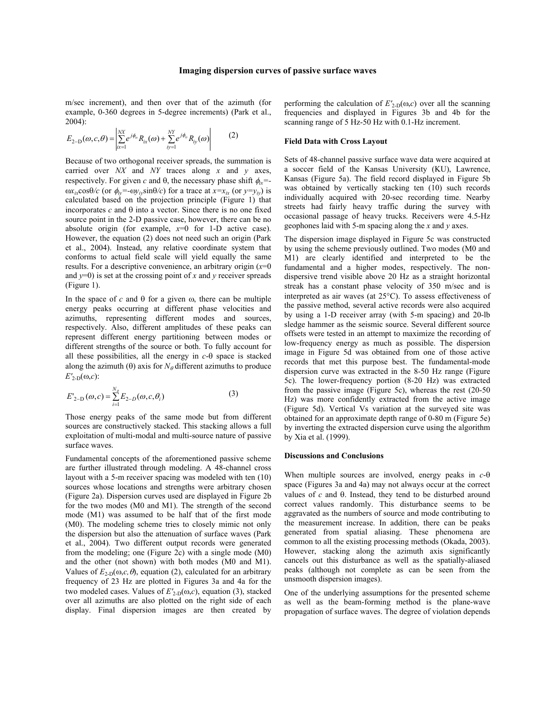m/sec increment), and then over that of the azimuth (for example, 0-360 degrees in 5-degree increments) (Park et al., 2004):

$$
E_{2-D}(\omega, c, \theta) = \left| \sum_{ix=1}^{NX} e^{j\phi_{ix}} R_{ix}(\omega) + \sum_{iy=1}^{NY} e^{j\phi_{iy}} R_{iy}(\omega) \right| \tag{2}
$$

Because of two orthogonal receiver spreads, the summation is carried over *NX* and *NY* traces along *x* and *y* axes, respectively. For given *c* and  $\theta$ , the necessary phase shift  $\phi_{ix}$ =  $ωx<sub>ix</sub>cosθ/c$  (or  $φ<sub>iv</sub> = -ωy<sub>iv</sub>sinθ/c$ ) for a trace at  $x=x<sub>ix</sub>$  (or  $y=y<sub>iv</sub>$ ) is calculated based on the projection principle (Figure 1) that incorporates  $c$  and  $\theta$  into a vector. Since there is no one fixed source point in the 2-D passive case, however, there can be no absolute origin (for example, *x*=0 for 1-D active case). However, the equation (2) does not need such an origin (Park et al., 2004). Instead, any relative coordinate system that conforms to actual field scale will yield equally the same results. For a descriptive convenience, an arbitrary origin (*x*=0 and  $y=0$ ) is set at the crossing point of *x* and *y* receiver spreads (Figure 1).

In the space of *c* and  $θ$  for a given  $ω$ , there can be multiple energy peaks occurring at different phase velocities and azimuths, representing different modes and sources, respectively. Also, different amplitudes of these peaks can represent different energy partitioning between modes or different strengths of the source or both. To fully account for all these possibilities, all the energy in *c*-θ space is stacked along the azimuth ( $\theta$ ) axis for *N*<sup> $\theta$ </sup> different azimuths to produce  $E'_{2-D}(\omega,c)$ :

$$
E'_{2-D}(\omega, c) = \sum_{i=1}^{N_{\theta}} E_{2-D}(\omega, c, \theta_i)
$$
 (3)

Those energy peaks of the same mode but from different sources are constructively stacked. This stacking allows a full exploitation of multi-modal and multi-source nature of passive surface waves.

Fundamental concepts of the aforementioned passive scheme are further illustrated through modeling. A 48-channel cross layout with a 5-m receiver spacing was modeled with ten (10) sources whose locations and strengths were arbitrary chosen (Figure 2a). Dispersion curves used are displayed in Figure 2b for the two modes (M0 and M1). The strength of the second mode (M1) was assumed to be half that of the first mode (M0). The modeling scheme tries to closely mimic not only the dispersion but also the attenuation of surface waves (Park et al., 2004). Two different output records were generated from the modeling; one (Figure 2c) with a single mode (M0) and the other (not shown) with both modes (M0 and M1). Values of  $E_{2-D}(\omega, c, \theta)$ , equation (2), calculated for an arbitrary frequency of 23 Hz are plotted in Figures 3a and 4a for the two modeled cases. Values of  $E'_{2-D}(\omega,c)$ , equation (3), stacked over all azimuths are also plotted on the right side of each display. Final dispersion images are then created by performing the calculation of  $E'_{2-D}(\omega,c)$  over all the scanning frequencies and displayed in Figures 3b and 4b for the scanning range of 5 Hz-50 Hz with 0.1-Hz increment.

#### **Field Data with Cross Layout**

Sets of 48-channel passive surface wave data were acquired at a soccer field of the Kansas University (KU), Lawrence, Kansas (Figure 5a). The field record displayed in Figure 5b was obtained by vertically stacking ten (10) such records individually acquired with 20-sec recording time. Nearby streets had fairly heavy traffic during the survey with occasional passage of heavy trucks. Receivers were 4.5-Hz geophones laid with 5-m spacing along the *x* and *y* axes.

The dispersion image displayed in Figure 5c was constructed by using the scheme previously outlined. Two modes (M0 and M1) are clearly identified and interpreted to be the fundamental and a higher modes, respectively. The nondispersive trend visible above 20 Hz as a straight horizontal streak has a constant phase velocity of 350 m/sec and is interpreted as air waves (at 25°C). To assess effectiveness of the passive method, several active records were also acquired by using a 1-D receiver array (with 5-m spacing) and 20-lb sledge hammer as the seismic source. Several different source offsets were tested in an attempt to maximize the recording of low-frequency energy as much as possible. The dispersion image in Figure 5d was obtained from one of those active records that met this purpose best. The fundamental-mode dispersion curve was extracted in the 8-50 Hz range (Figure 5c). The lower-frequency portion (8-20 Hz) was extracted from the passive image (Figure 5c), whereas the rest (20-50 Hz) was more confidently extracted from the active image (Figure 5d). Vertical Vs variation at the surveyed site was obtained for an approximate depth range of 0-80 m (Figure 5e) by inverting the extracted dispersion curve using the algorithm by Xia et al. (1999).

# **Discussions and Conclusions**

When multiple sources are involved, energy peaks in *c*-θ space (Figures 3a and 4a) may not always occur at the correct values of *c* and θ. Instead, they tend to be disturbed around correct values randomly. This disturbance seems to be aggravated as the numbers of source and mode contributing to the measurement increase. In addition, there can be peaks generated from spatial aliasing. These phenomena are common to all the existing processing methods (Okada, 2003). However, stacking along the azimuth axis significantly cancels out this disturbance as well as the spatially-aliased peaks (although not complete as can be seen from the unsmooth dispersion images).

One of the underlying assumptions for the presented scheme as well as the beam-forming method is the plane-wave propagation of surface waves. The degree of violation depends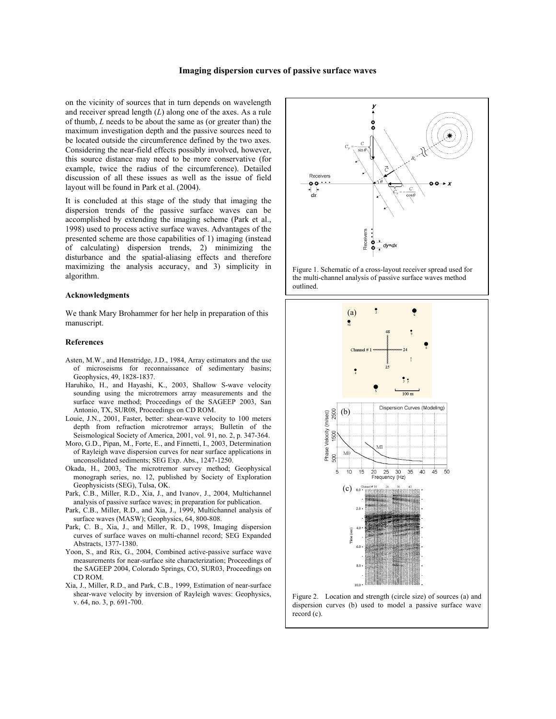# **Imaging dispersion curves of passive surface waves**

on the vicinity of sources that in turn depends on wavelength and receiver spread length (*L*) along one of the axes. As a rule of thumb, *L* needs to be about the same as (or greater than) the maximum investigation depth and the passive sources need to be located outside the circumference defined by the two axes. Considering the near-field effects possibly involved, however, this source distance may need to be more conservative (for example, twice the radius of the circumference). Detailed discussion of all these issues as well as the issue of field layout will be found in Park et al. (2004).

It is concluded at this stage of the study that imaging the dispersion trends of the passive surface waves can be accomplished by extending the imaging scheme (Park et al., 1998) used to process active surface waves. Advantages of the presented scheme are those capabilities of 1) imaging (instead of calculating) dispersion trends, 2) minimizing the disturbance and the spatial-aliasing effects and therefore maximizing the analysis accuracy, and 3) simplicity in algorithm.

# **Acknowledgments**

We thank Mary Brohammer for her help in preparation of this manuscript.

#### **References**

- Asten, M.W., and Henstridge, J.D., 1984, Array estimators and the use of microseisms for reconnaissance of sedimentary basins; Geophysics, 49, 1828-1837.
- Haruhiko, H., and Hayashi, K., 2003, Shallow S-wave velocity sounding using the microtremors array measurements and the surface wave method; Proceedings of the SAGEEP 2003, San Antonio, TX, SUR08, Proceedings on CD ROM.
- Louie, J.N., 2001, Faster, better: shear-wave velocity to 100 meters depth from refraction microtremor arrays; Bulletin of the Seismological Society of America, 2001, vol. 91, no. 2, p. 347-364.
- Moro, G.D., Pipan, M., Forte, E., and Finnetti, I., 2003, Determination of Rayleigh wave dispersion curves for near surface applications in unconsolidated sediments; SEG Exp. Abs., 1247-1250.
- Okada, H., 2003, The microtremor survey method; Geophysical monograph series, no. 12, published by Society of Exploration Geophysicists (SEG), Tulsa, OK.
- Park, C.B., Miller, R.D., Xia, J., and Ivanov, J., 2004, Multichannel analysis of passive surface waves; in preparation for publication.
- Park, C.B., Miller, R.D., and Xia, J., 1999, Multichannel analysis of surface waves (MASW); Geophysics, 64, 800-808.
- Park, C. B., Xia, J., and Miller, R. D., 1998, Imaging dispersion curves of surface waves on multi-channel record; SEG Expanded Abstracts, 1377-1380.
- Yoon, S., and Rix, G., 2004, Combined active-passive surface wave measurements for near-surface site characterization; Proceedings of the SAGEEP 2004, Colorado Springs, CO, SUR03, Proceedings on CD ROM.
- Xia, J., Miller, R.D., and Park, C.B., 1999, Estimation of near-surface shear-wave velocity by inversion of Rayleigh waves: Geophysics, shear-wave velocity by inversion of Rayleigh waves: Geophysics,<br>Figure 2. Location and strength (circle size) of sources (a) and<br>dispersion curves (b) used to model a passive surface wave







dispersion curves (b) used to model a passive surface wave record (c).